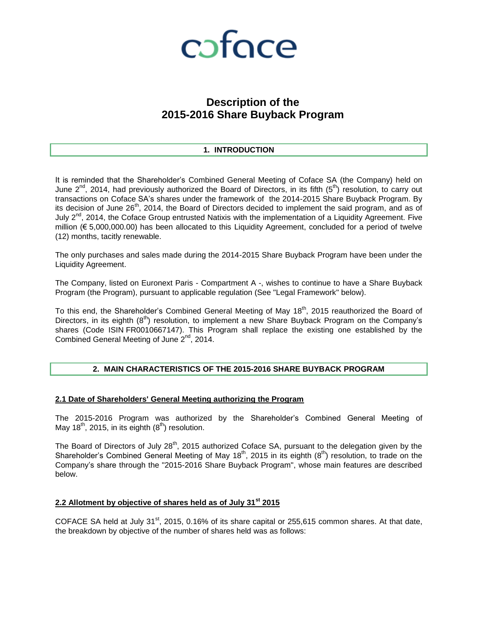

### **Description of the 2015-2016 Share Buyback Program**

#### **1. INTRODUCTION**

It is reminded that the Shareholder's Combined General Meeting of Coface SA (the Company) held on June  $2^{nd}$ , 2014, had previously authorized the Board of Directors, in its fifth  $(5^{th})$  resolution, to carry out transactions on Coface SA's shares under the framework of the 2014-2015 Share Buyback Program. By its decision of June  $26<sup>th</sup>$ , 2014, the Board of Directors decided to implement the said program, and as of July  $2^{nd}$ , 2014, the Coface Group entrusted Natixis with the implementation of a Liquidity Agreement. Five million (€ 5,000,000.00) has been allocated to this Liquidity Agreement, concluded for a period of twelve (12) months, tacitly renewable.

The only purchases and sales made during the 2014-2015 Share Buyback Program have been under the Liquidity Agreement.

The Company, listed on Euronext Paris - Compartment A -, wishes to continue to have a Share Buyback Program (the Program), pursuant to applicable regulation (See "Legal Framework" below).

To this end, the Shareholder's Combined General Meeting of May  $18<sup>th</sup>$ , 2015 reauthorized the Board of Directors, in its eighth  $(8<sup>th</sup>)$  resolution, to implement a new Share Buyback Program on the Company's shares (Code ISIN FR0010667147). This Program shall replace the existing one established by the Combined General Meeting of June 2<sup>nd</sup>, 2014.

#### **2. MAIN CHARACTERISTICS OF THE 2015-2016 SHARE BUYBACK PROGRAM**

#### **2.1 Date of Shareholders' General Meeting authorizing the Program**

The 2015-2016 Program was authorized by the Shareholder's Combined General Meeting of May 18<sup>th</sup>, 2015, in its eighth  $(8<sup>th</sup>)$  resolution.

The Board of Directors of July  $28<sup>th</sup>$ , 2015 authorized Coface SA, pursuant to the delegation given by the Shareholder's Combined General Meeting of May 18<sup>th</sup>, 2015 in its eighth  $(8<sup>th</sup>)$  resolution, to trade on the Company's share through the "2015-2016 Share Buyback Program", whose main features are described below.

#### **2.2 Allotment by objective of shares held as of July 31st 2015**

COFACE SA held at July 31<sup>st</sup>, 2015, 0.16% of its share capital or 255,615 common shares. At that date, the breakdown by objective of the number of shares held was as follows: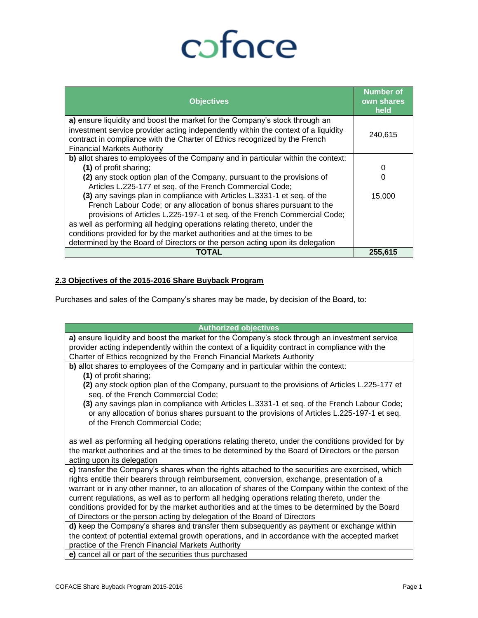# coface

| <b>Objectives</b>                                                                                                                                                                                                                                                                     | <b>Number of</b><br>own shares<br>held |
|---------------------------------------------------------------------------------------------------------------------------------------------------------------------------------------------------------------------------------------------------------------------------------------|----------------------------------------|
| a) ensure liquidity and boost the market for the Company's stock through an<br>investment service provider acting independently within the context of a liquidity<br>contract in compliance with the Charter of Ethics recognized by the French<br><b>Financial Markets Authority</b> | 240,615                                |
| b) allot shares to employees of the Company and in particular within the context:                                                                                                                                                                                                     |                                        |
| (1) of profit sharing;                                                                                                                                                                                                                                                                | 0                                      |
| (2) any stock option plan of the Company, pursuant to the provisions of                                                                                                                                                                                                               | 0                                      |
| Articles L.225-177 et seq. of the French Commercial Code;                                                                                                                                                                                                                             |                                        |
| (3) any savings plan in compliance with Articles L.3331-1 et seq. of the                                                                                                                                                                                                              | 15,000                                 |
| French Labour Code; or any allocation of bonus shares pursuant to the                                                                                                                                                                                                                 |                                        |
| provisions of Articles L.225-197-1 et seq. of the French Commercial Code;                                                                                                                                                                                                             |                                        |
| as well as performing all hedging operations relating thereto, under the                                                                                                                                                                                                              |                                        |
| conditions provided for by the market authorities and at the times to be                                                                                                                                                                                                              |                                        |
| determined by the Board of Directors or the person acting upon its delegation                                                                                                                                                                                                         |                                        |
| TOTAL                                                                                                                                                                                                                                                                                 | 255.615                                |

#### **2.3 Objectives of the 2015-2016 Share Buyback Program**

Purchases and sales of the Company's shares may be made, by decision of the Board, to:

| <b>Authorized objectives</b>                                                                                                                                                                      |  |  |  |  |
|---------------------------------------------------------------------------------------------------------------------------------------------------------------------------------------------------|--|--|--|--|
| a) ensure liquidity and boost the market for the Company's stock through an investment service                                                                                                    |  |  |  |  |
| provider acting independently within the context of a liquidity contract in compliance with the                                                                                                   |  |  |  |  |
| Charter of Ethics recognized by the French Financial Markets Authority                                                                                                                            |  |  |  |  |
| b) allot shares to employees of the Company and in particular within the context:                                                                                                                 |  |  |  |  |
| (1) of profit sharing;                                                                                                                                                                            |  |  |  |  |
| (2) any stock option plan of the Company, pursuant to the provisions of Articles L.225-177 et                                                                                                     |  |  |  |  |
| seq. of the French Commercial Code;                                                                                                                                                               |  |  |  |  |
| (3) any savings plan in compliance with Articles L.3331-1 et seq. of the French Labour Code;                                                                                                      |  |  |  |  |
| or any allocation of bonus shares pursuant to the provisions of Articles L.225-197-1 et seq.                                                                                                      |  |  |  |  |
| of the French Commercial Code;                                                                                                                                                                    |  |  |  |  |
|                                                                                                                                                                                                   |  |  |  |  |
| as well as performing all hedging operations relating thereto, under the conditions provided for by                                                                                               |  |  |  |  |
| the market authorities and at the times to be determined by the Board of Directors or the person                                                                                                  |  |  |  |  |
| acting upon its delegation                                                                                                                                                                        |  |  |  |  |
| c) transfer the Company's shares when the rights attached to the securities are exercised, which                                                                                                  |  |  |  |  |
| rights entitle their bearers through reimbursement, conversion, exchange, presentation of a                                                                                                       |  |  |  |  |
| warrant or in any other manner, to an allocation of shares of the Company within the context of the                                                                                               |  |  |  |  |
| current regulations, as well as to perform all hedging operations relating thereto, under the<br>conditions provided for by the market authorities and at the times to be determined by the Board |  |  |  |  |
| of Directors or the person acting by delegation of the Board of Directors                                                                                                                         |  |  |  |  |
| d) keep the Company's shares and transfer them subsequently as payment or exchange within                                                                                                         |  |  |  |  |
| the context of potential external growth operations, and in accordance with the accepted market                                                                                                   |  |  |  |  |
| practice of the French Financial Markets Authority                                                                                                                                                |  |  |  |  |
| e) cancel all or part of the securities thus purchased                                                                                                                                            |  |  |  |  |
|                                                                                                                                                                                                   |  |  |  |  |
|                                                                                                                                                                                                   |  |  |  |  |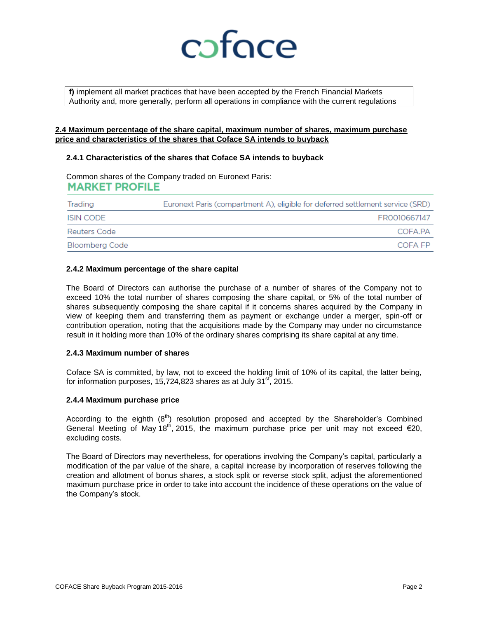

**f)** implement all market practices that have been accepted by the French Financial Markets Authority and, more generally, perform all operations in compliance with the current regulations

#### **2.4 Maximum percentage of the share capital, maximum number of shares, maximum purchase price and characteristics of the shares that Coface SA intends to buyback**

#### **2.4.1 Characteristics of the shares that Coface SA intends to buyback**

Common shares of the Company traded on Euronext Paris: **MARKET PROFILE** 

| Trading        | Euronext Paris (compartment A), eligible for deferred settlement service (SRD) |  |  |
|----------------|--------------------------------------------------------------------------------|--|--|
| ISIN CODE      | FR0010667147                                                                   |  |  |
| Reuters Code   | COFA PA                                                                        |  |  |
| Bloomberg Code | COFA FP                                                                        |  |  |

#### **2.4.2 Maximum percentage of the share capital**

The Board of Directors can authorise the purchase of a number of shares of the Company not to exceed 10% the total number of shares composing the share capital, or 5% of the total number of shares subsequently composing the share capital if it concerns shares acquired by the Company in view of keeping them and transferring them as payment or exchange under a merger, spin-off or contribution operation, noting that the acquisitions made by the Company may under no circumstance result in it holding more than 10% of the ordinary shares comprising its share capital at any time.

#### **2.4.3 Maximum number of shares**

Coface SA is committed, by law, not to exceed the holding limit of 10% of its capital, the latter being, for information purposes,  $15,724,823$  shares as at July  $31<sup>st</sup>$ , 2015.

#### **2.4.4 Maximum purchase price**

According to the eighth  $(8<sup>th</sup>)$  resolution proposed and accepted by the Shareholder's Combined General Meeting of May 18<sup>th</sup>, 2015, the maximum purchase price per unit may not exceed  $\epsilon$ 20, excluding costs.

The Board of Directors may nevertheless, for operations involving the Company's capital, particularly a modification of the par value of the share, a capital increase by incorporation of reserves following the creation and allotment of bonus shares, a stock split or reverse stock split, adjust the aforementioned maximum purchase price in order to take into account the incidence of these operations on the value of the Company's stock.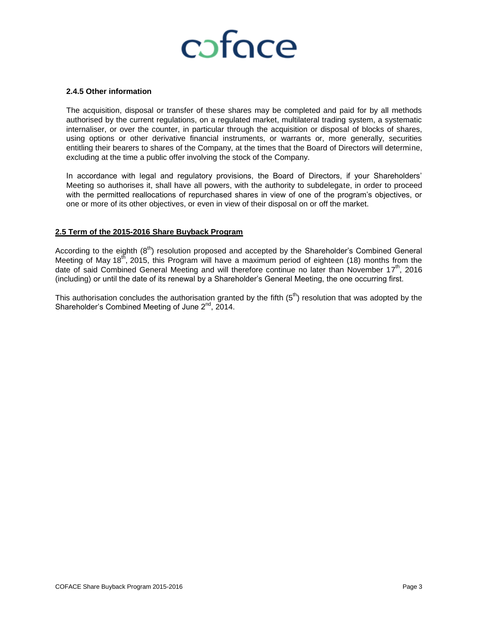

#### **2.4.5 Other information**

The acquisition, disposal or transfer of these shares may be completed and paid for by all methods authorised by the current regulations, on a regulated market, multilateral trading system, a systematic internaliser, or over the counter, in particular through the acquisition or disposal of blocks of shares, using options or other derivative financial instruments, or warrants or, more generally, securities entitling their bearers to shares of the Company, at the times that the Board of Directors will determine, excluding at the time a public offer involving the stock of the Company.

In accordance with legal and regulatory provisions, the Board of Directors, if your Shareholders' Meeting so authorises it, shall have all powers, with the authority to subdelegate, in order to proceed with the permitted reallocations of repurchased shares in view of one of the program's objectives, or one or more of its other objectives, or even in view of their disposal on or off the market.

#### **2.5 Term of the 2015-2016 Share Buyback Program**

According to the eighth  $(8<sup>th</sup>)$  resolution proposed and accepted by the Shareholder's Combined General Meeting of May 18<sup>th</sup>, 2015, this Program will have a maximum period of eighteen (18) months from the date of said Combined General Meeting and will therefore continue no later than November 17<sup>th</sup>, 2016 (including) or until the date of its renewal by a Shareholder's General Meeting, the one occurring first.

This authorisation concludes the authorisation granted by the fifth  $(5<sup>th</sup>)$  resolution that was adopted by the Shareholder's Combined Meeting of June  $2^{nd}$ , 2014.